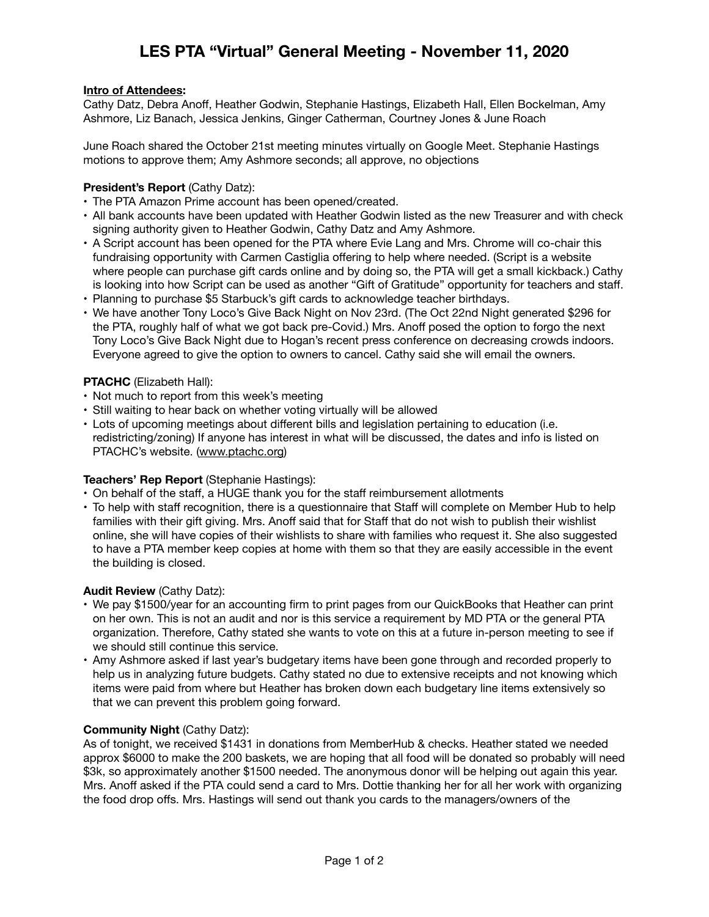# **LES PTA "Virtual" General Meeting - November 11, 2020**

## **Intro of Attendees:**

Cathy Datz, Debra Anoff, Heather Godwin, Stephanie Hastings, Elizabeth Hall, Ellen Bockelman, Amy Ashmore, Liz Banach, Jessica Jenkins, Ginger Catherman, Courtney Jones & June Roach

June Roach shared the October 21st meeting minutes virtually on Google Meet. Stephanie Hastings motions to approve them; Amy Ashmore seconds; all approve, no objections

## **President's Report** (Cathy Datz):

- The PTA Amazon Prime account has been opened/created.
- All bank accounts have been updated with Heather Godwin listed as the new Treasurer and with check signing authority given to Heather Godwin, Cathy Datz and Amy Ashmore.
- A Script account has been opened for the PTA where Evie Lang and Mrs. Chrome will co-chair this fundraising opportunity with Carmen Castiglia offering to help where needed. (Script is a website where people can purchase gift cards online and by doing so, the PTA will get a small kickback.) Cathy is looking into how Script can be used as another "Gift of Gratitude" opportunity for teachers and staff.
- Planning to purchase \$5 Starbuck's gift cards to acknowledge teacher birthdays.
- We have another Tony Loco's Give Back Night on Nov 23rd. (The Oct 22nd Night generated \$296 for the PTA, roughly half of what we got back pre-Covid.) Mrs. Anoff posed the option to forgo the next Tony Loco's Give Back Night due to Hogan's recent press conference on decreasing crowds indoors. Everyone agreed to give the option to owners to cancel. Cathy said she will email the owners.

### **PTACHC** (Elizabeth Hall):

- Not much to report from this week's meeting
- Still waiting to hear back on whether voting virtually will be allowed
- Lots of upcoming meetings about different bills and legislation pertaining to education (i.e. redistricting/zoning) If anyone has interest in what will be discussed, the dates and info is listed on PTACHC's website. [\(www.ptachc.org](http://www.ptachc.org))

## **Teachers' Rep Report** (Stephanie Hastings):

- On behalf of the staff, a HUGE thank you for the staff reimbursement allotments
- To help with staff recognition, there is a questionnaire that Staff will complete on Member Hub to help families with their gift giving. Mrs. Anoff said that for Staff that do not wish to publish their wishlist online, she will have copies of their wishlists to share with families who request it. She also suggested to have a PTA member keep copies at home with them so that they are easily accessible in the event the building is closed.

#### **Audit Review** (Cathy Datz):

- We pay \$1500/year for an accounting firm to print pages from our QuickBooks that Heather can print on her own. This is not an audit and nor is this service a requirement by MD PTA or the general PTA organization. Therefore, Cathy stated she wants to vote on this at a future in-person meeting to see if we should still continue this service.
- Amy Ashmore asked if last year's budgetary items have been gone through and recorded properly to help us in analyzing future budgets. Cathy stated no due to extensive receipts and not knowing which items were paid from where but Heather has broken down each budgetary line items extensively so that we can prevent this problem going forward.

#### **Community Night** (Cathy Datz):

As of tonight, we received \$1431 in donations from MemberHub & checks. Heather stated we needed approx \$6000 to make the 200 baskets, we are hoping that all food will be donated so probably will need \$3k, so approximately another \$1500 needed. The anonymous donor will be helping out again this year. Mrs. Anoff asked if the PTA could send a card to Mrs. Dottie thanking her for all her work with organizing the food drop offs. Mrs. Hastings will send out thank you cards to the managers/owners of the